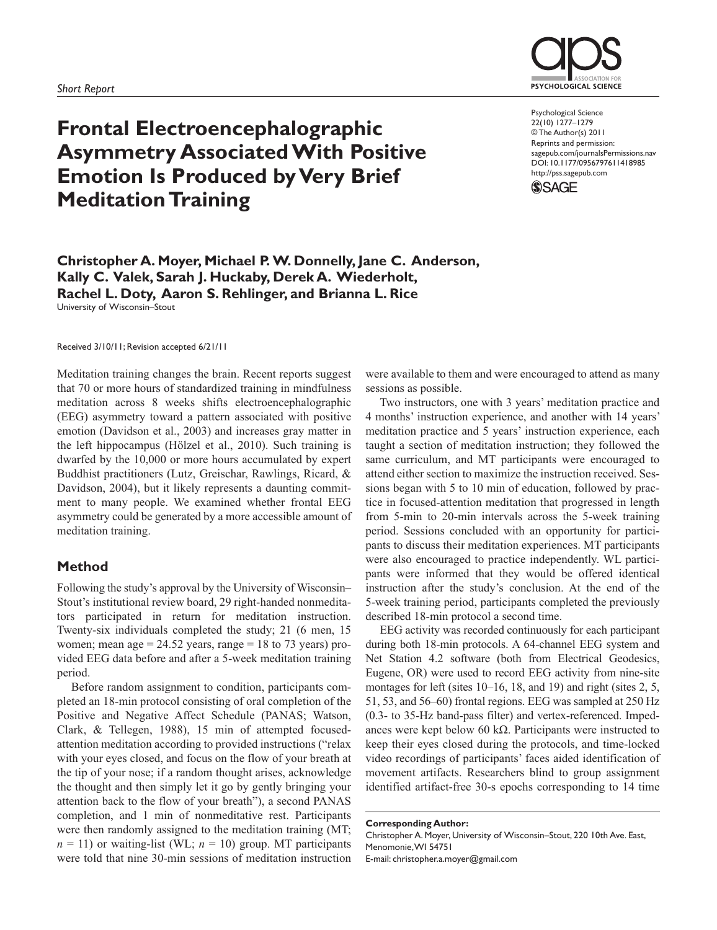

# **Frontal Electroencephalographic Asymmetry Associated With Positive Emotion Is Produced by Very Brief Meditation Training**

Psychological Science 22(10) 1277–1279 © The Author(s) 2011 Reprints and permission: sagepub.com/journalsPermissions.nav DOI: 10.1177/0956797611418985 http://pss.sagepub.com



**Christopher A. Moyer, Michael P. W. Donnelly, Jane C. Anderson, Kally C. Valek, Sarah J. Huckaby, Derek A. Wiederholt, Rachel L. Doty, Aaron S. Rehlinger, and Brianna L. Rice** University of Wisconsin–Stout

Received 3/10/11; Revision accepted 6/21/11

Meditation training changes the brain. Recent reports suggest that 70 or more hours of standardized training in mindfulness meditation across 8 weeks shifts electroencephalographic (EEG) asymmetry toward a pattern associated with positive emotion (Davidson et al., 2003) and increases gray matter in the left hippocampus (Hölzel et al., 2010). Such training is dwarfed by the 10,000 or more hours accumulated by expert Buddhist practitioners (Lutz, Greischar, Rawlings, Ricard, & Davidson, 2004), but it likely represents a daunting commitment to many people. We examined whether frontal EEG asymmetry could be generated by a more accessible amount of meditation training.

### **Method**

Following the study's approval by the University of Wisconsin– Stout's institutional review board, 29 right-handed nonmeditators participated in return for meditation instruction. Twenty-six individuals completed the study; 21 (6 men, 15 women; mean age  $= 24.52$  years, range  $= 18$  to 73 years) provided EEG data before and after a 5-week meditation training period.

Before random assignment to condition, participants completed an 18-min protocol consisting of oral completion of the Positive and Negative Affect Schedule (PANAS; Watson, Clark, & Tellegen, 1988), 15 min of attempted focusedattention meditation according to provided instructions ("relax with your eyes closed, and focus on the flow of your breath at the tip of your nose; if a random thought arises, acknowledge the thought and then simply let it go by gently bringing your attention back to the flow of your breath"), a second PANAS completion, and 1 min of nonmeditative rest. Participants were then randomly assigned to the meditation training (MT;  $n = 11$ ) or waiting-list (WL;  $n = 10$ ) group. MT participants were told that nine 30-min sessions of meditation instruction

were available to them and were encouraged to attend as many sessions as possible.

Two instructors, one with 3 years' meditation practice and 4 months' instruction experience, and another with 14 years' meditation practice and 5 years' instruction experience, each taught a section of meditation instruction; they followed the same curriculum, and MT participants were encouraged to attend either section to maximize the instruction received. Sessions began with 5 to 10 min of education, followed by practice in focused-attention meditation that progressed in length from 5-min to 20-min intervals across the 5-week training period. Sessions concluded with an opportunity for participants to discuss their meditation experiences. MT participants were also encouraged to practice independently. WL participants were informed that they would be offered identical instruction after the study's conclusion. At the end of the 5-week training period, participants completed the previously described 18-min protocol a second time.

EEG activity was recorded continuously for each participant during both 18-min protocols. A 64-channel EEG system and Net Station 4.2 software (both from Electrical Geodesics, Eugene, OR) were used to record EEG activity from nine-site montages for left (sites 10–16, 18, and 19) and right (sites 2, 5, 51, 53, and 56–60) frontal regions. EEG was sampled at 250 Hz (0.3- to 35-Hz band-pass filter) and vertex-referenced. Impedances were kept below 60 k $\Omega$ . Participants were instructed to keep their eyes closed during the protocols, and time-locked video recordings of participants' faces aided identification of movement artifacts. Researchers blind to group assignment identified artifact-free 30-s epochs corresponding to 14 time

**Corresponding Author:**

Christopher A. Moyer, University of Wisconsin–Stout, 220 10th Ave. East, Menomonie, WI 54751

E-mail: christopher.a.moyer@gmail.com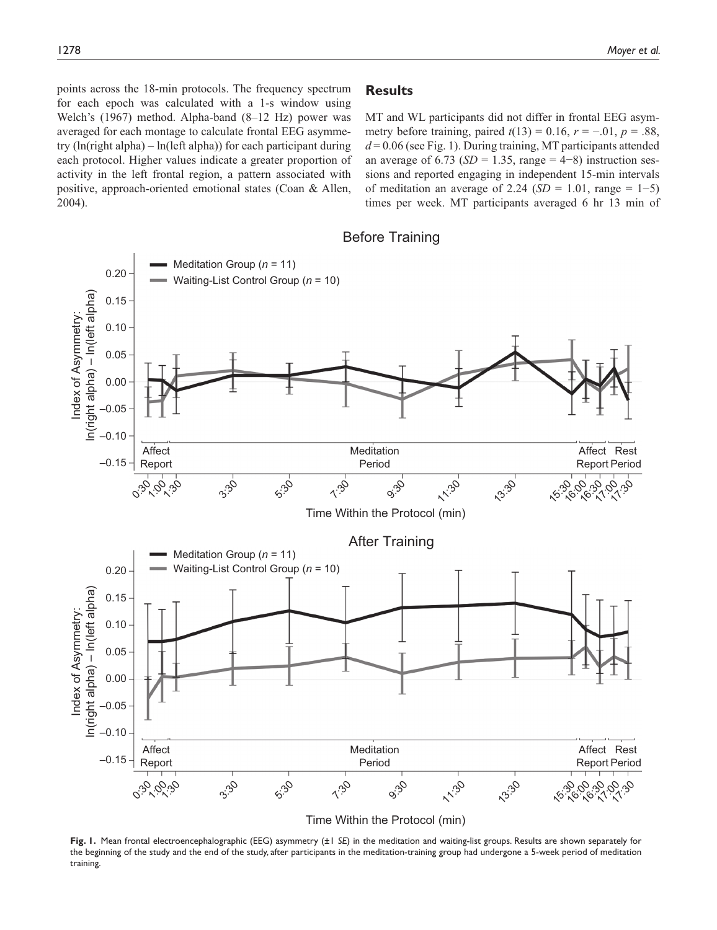points across the 18-min protocols. The frequency spectrum for each epoch was calculated with a 1-s window using Welch's (1967) method. Alpha-band (8–12 Hz) power was averaged for each montage to calculate frontal EEG asymmetry  $(ln(right alpha) - ln(left alpha))$  for each participant during each protocol. Higher values indicate a greater proportion of activity in the left frontal region, a pattern associated with positive, approach-oriented emotional states (Coan & Allen, 2004).

## **Results**

MT and WL participants did not differ in frontal EEG asymmetry before training, paired  $t(13) = 0.16$ ,  $r = -.01$ ,  $p = .88$ ,  $d = 0.06$  (see Fig. 1). During training, MT participants attended an average of  $6.73$  ( $SD = 1.35$ , range =  $4-8$ ) instruction sessions and reported engaging in independent 15-min intervals of meditation an average of 2.24 ( $SD = 1.01$ , range = 1–5) times per week. MT participants averaged 6 hr 13 min of





Time Within the Protocol (min)

**Fig. 1.** Mean frontal electroencephalographic (EEG) asymmetry (±1 *SE*) in the meditation and waiting-list groups. Results are shown separately for the beginning of the study and the end of the study, after participants in the meditation-training group had undergone a 5-week period of meditation training.